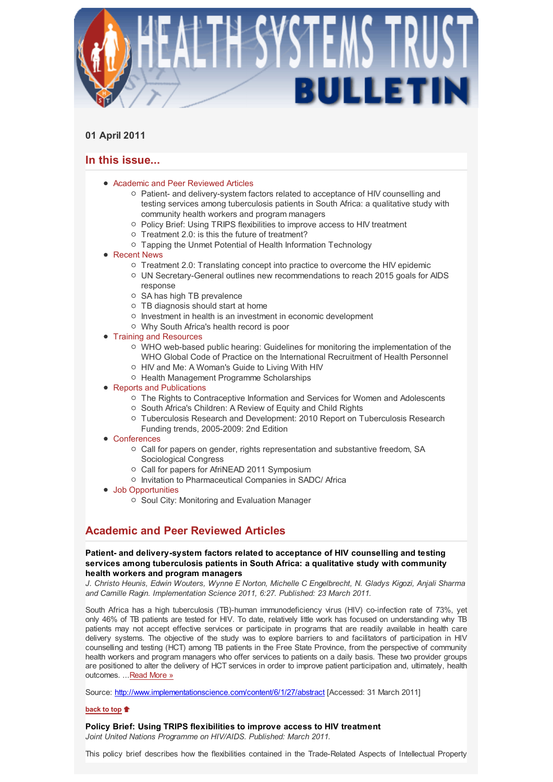

## **01 April 2011**

# **In this issue...**

- Academic and Peer Reviewed Articles
	- o Patient- and delivery-system factors related to acceptance of HIV counselling and testing services among tuberculosis patients in South Africa: a qualitative study with community health workers and program managers
	- Policy Brief: Using TRIPS flexibilities to improve access to HIV treatment
	- $\circ$  Treatment 2.0: is this the future of treatment?
	- Tapping the Unmet Potential of Health Information Technology
- Recent News
	- $\circ$  Treatment 2.0: Translating concept into practice to overcome the HIV epidemic
	- $\circ$  UN Secretary-General outlines new recommendations to reach 2015 goals for AIDS response
	- SA has high TB prevalence
	- $\circ$  TB diagnosis should start at home
	- o Investment in health is an investment in economic development
	- Why South Africa's health record is poor
- Training and Resources
	- $\circ$  WHO web-based public hearing: Guidelines for monitoring the implementation of the WHO Global Code of Practice on the International Recruitment of Health Personnel
	- HIV and Me: A Woman's Guide to Living With HIV
	- o Health Management Programme Scholarships
- Reports and Publications
	- $\circ$  The Rights to Contraceptive Information and Services for Women and Adolescents
	- South Africa's Children: A Review of Equity and Child Rights
	- Tuberculosis Research and Development: 2010 Report on Tuberculosis Research Funding trends, 2005-2009: 2nd Edition
- Conferences
	- Call for papers on gender, rights representation and substantive freedom, SA Sociological Congress
	- Call for papers for AfriNEAD 2011 Symposium
	- Invitation to Pharmaceutical Companies in SADC/ Africa
- Job Opportunities
	- Soul City: Monitoring and Evaluation Manager

# **Academic and Peer Reviewed Articles**

### **Patient- and delivery-system factors related to acceptance of HIV counselling and testing services among tuberculosis patients in South Africa: a qualitative study with community health workers and program managers**

*J. Christo Heunis, Edwin Wouters, Wynne E Norton, Michelle C Engelbrecht, N. Gladys Kigozi, Anjali Sharma and Camille Ragin. Implementation Science 2011, 6:27. Published: 23 March 2011.*

South Africa has a high tuberculosis (TB)-human immunodeficiency virus (HIV) co-infection rate of 73%, yet only 46% of TB patients are tested for HIV. To date, relatively little work has focused on understanding why TB patients may not accept effective services or participate in programs that are readily available in health care delivery systems. The objective of the study was to explore barriers to and facilitators of participation in HIV counselling and testing (HCT) among TB patients in the Free State Province, from the perspective of community health workers and program managers who offer services to patients on a daily basis. These two provider groups are positioned to alter the delivery of HCT services in order to improve patient participation and, ultimately, health outcomes. ...Read More »

Source: http://www.implementationscience.com/content/6/1/27/abstract [Accessed: 31 March 2011]

### **back to top**

**Policy Brief: Using TRIPS flexibilities to improve access to HIV treatment** *Joint United Nations Programme on HIV/AIDS. Published: March 2011.*

This policy brief describes how the flexibilities contained in the Trade-Related Aspects of Intellectual Property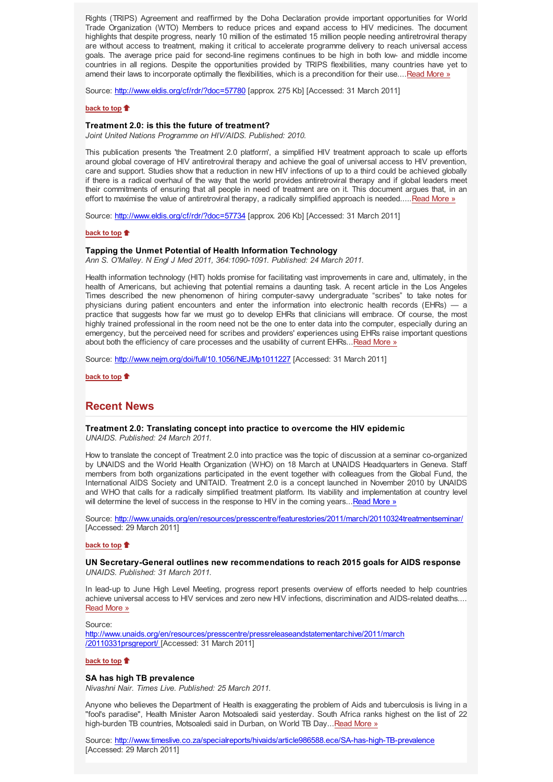Rights (TRIPS) Agreement and reaffirmed by the Doha Declaration provide important opportunities for World Trade Organization (WTO) Members to reduce prices and expand access to HIV medicines. The document highlights that despite progress, nearly 10 million of the estimated 15 million people needing antiretroviral therapy are without access to treatment, making it critical to accelerate programme delivery to reach universal access goals. The average price paid for second-line regimens continues to be high in both low- and middle income countries in all regions. Despite the opportunities provided by TRIPS flexibilities, many countries have yet to amend their laws to incorporate optimally the flexibilities, which is a precondition for their use....Read More »

Source: http://www.eldis.org/cf/rdr/?doc=57780 [approx. 275 Kb] [Accessed: 31 March 2011]

#### **back to top**

#### **Treatment 2.0: is this the future of treatment?**

*Joint United Nations Programme on HIV/AIDS. Published: 2010.*

This publication presents 'the Treatment 2.0 platform', a simplified HIV treatment approach to scale up efforts around global coverage of HIV antiretroviral therapy and achieve the goal of universal access to HIV prevention, care and support. Studies show that a reduction in new HIV infections of up to a third could be achieved globally if there is a radical overhaul of the way that the world provides antiretroviral therapy and if global leaders meet their commitments of ensuring that all people in need of treatment are on it. This document argues that, in an effort to maximise the value of antiretroviral therapy, a radically simplified approach is needed.....Read More »

Source: http://www.eldis.org/cf/rdr/?doc=57734 [approx. 206 Kb] [Accessed: 31 March 2011]

#### **back to top**

### **Tapping the Unmet Potential of Health Information Technology**

*Ann S. O'Malley. N Engl J Med 2011, 364:1090-1091. Published: 24 March 2011.*

Health information technology (HIT) holds promise for facilitating vast improvements in care and, ultimately, in the health of Americans, but achieving that potential remains a daunting task. A recent article in the Los Angeles Times described the new phenomenon of hiring computer-savvy undergraduate "scribes" to take notes for physicians during patient encounters and enter the information into electronic health records (EHRs) — a practice that suggests how far we must go to develop EHRs that clinicians will embrace. Of course, the most highly trained professional in the room need not be the one to enter data into the computer, especially during an emergency, but the perceived need for scribes and providers' experiences using EHRs raise important questions about both the efficiency of care processes and the usability of current EHRs...Read More »

Source: http://www.nejm.org/doi/full/10.1056/NEJMp1011227 [Accessed: 31 March 2011]

**back to top**

## **Recent News**

#### **Treatment 2.0: Translating concept into practice to overcome the HIV epidemic** *UNAIDS. Published: 24 March 2011.*

How to translate the concept of Treatment 2.0 into practice was the topic of discussion at a seminar co-organized by UNAIDS and the World Health Organization (WHO) on 18 March at UNAIDS Headquarters in Geneva. Staff members from both organizations participated in the event together with colleagues from the Global Fund, the International AIDS Society and UNITAID. Treatment 2.0 is a concept launched in November 2010 by UNAIDS and WHO that calls for a radically simplified treatment platform. Its viability and implementation at country level will determine the level of success in the response to HIV in the coming years...Read More »

Source: http://www.unaids.org/en/resources/presscentre/featurestories/2011/march/20110324treatmentseminar/ [Accessed: 29 March 2011]

#### **back to top**

### **UN Secretary-General outlines new recommendations to reach 2015 goals for AIDS response** *UNAIDS. Published: 31 March 2011.*

In lead-up to June High Level Meeting, progress report presents overview of efforts needed to help countries achieve universal access to HIV services and zero new HIV infections, discrimination and AIDS-related deaths.... Read More »

#### Source:

http://www.unaids.org/en/resources/presscentre/pressreleaseandstatementarchive/2011/march /20110331prsgreport/ [Accessed: 31 March 2011]

#### **back to top**

### **SA has high TB prevalence**

*Nivashni Nair. Times Live. Published: 25 March 2011.*

Anyone who believes the Department of Health is exaggerating the problem of Aids and tuberculosis is living in a "fool's paradise", Health Minister Aaron Motsoaledi said yesterday. South Africa ranks highest on the list of 22 high-burden TB countries, Motsoaledi said in Durban, on World TB Day...Read More »

Source: http://www.timeslive.co.za/specialreports/hivaids/article986588.ece/SA-has-high-TB-prevalence [Accessed: 29 March 2011]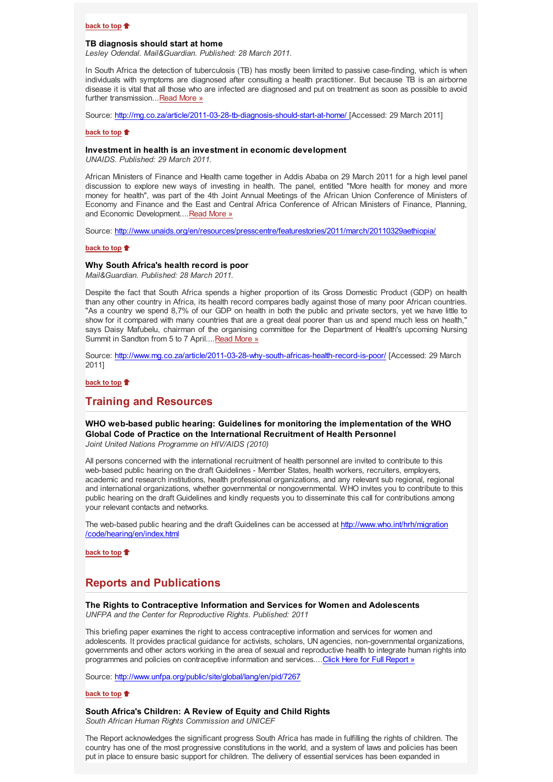#### **back to top**

#### **TB diagnosis should start at home**

*Lesley Odendal. Mail&Guardian. Published: 28 March 2011.*

In South Africa the detection of tuberculosis (TB) has mostly been limited to passive case-finding, which is when individuals with symptoms are diagnosed after consulting a health practitioner. But because TB is an airborne disease it is vital that all those who are infected are diagnosed and put on treatment as soon as possible to avoid further transmission...Read More »

Source: http://mg.co.za/article/2011-03-28-tb-diagnosis-should-start-at-home/ [Accessed: 29 March 2011]

#### **back to top**

#### **Investment in health is an investment in economic development**

*UNAIDS. Published: 29 March 2011.*

African Ministers of Finance and Health came together in Addis Ababa on 29 March 2011 for a high level panel discussion to explore new ways of investing in health. The panel, entitled "More health for money and more money for health", was part of the 4th Joint Annual Meetings of the African Union Conference of Ministers of Economy and Finance and the East and Central Africa Conference of African Ministers of Finance, Planning, and Economic Development....Read More »

Source: http://www.unaids.org/en/resources/presscentre/featurestories/2011/march/20110329aethiopia/

### **back to top**

#### **Why South Africa's health record is poor**

*Mail&Guardian. Published: 28 March 2011.*

Despite the fact that South Africa spends a higher proportion of its Gross Domestic Product (GDP) on health than any other country in Africa, its health record compares badly against those of many poor African countries. "As a country we spend 8,7% of our GDP on health in both the public and private sectors, yet we have little to show for it compared with many countries that are a great deal poorer than us and spend much less on health," says Daisy Mafubelu, chairman of the organising committee for the Department of Health's upcoming Nursing Summit in Sandton from 5 to 7 April.... Read More »

Source: http://www.mg.co.za/article/2011-03-28-why-south-africas-health-record-is-poor/ [Accessed: 29 March 2011]

#### **back to top**

## **Training and Resources**

**WHO web-based public hearing: Guidelines for monitoring the implementation of the WHO Global Code of Practice on the International Recruitment of Health Personnel** *Joint United Nations Programme on HIV/AIDS (2010)*

All persons concerned with the international recruitment of health personnel are invited to contribute to this web-based public hearing on the draft Guidelines - Member States, health workers, recruiters, employers, academic and research institutions, health professional organizations, and any relevant sub regional, regional and international organizations, whether governmental or nongovernmental. WHO invites you to contribute to this public hearing on the draft Guidelines and kindly requests you to disseminate this call for contributions among your relevant contacts and networks.

The web-based public hearing and the draft Guidelines can be accessed at http://www.who.int/hrh/migration /code/hearing/en/index.html

**back to top**

## **Reports and Publications**

### **The Rights to Contraceptive Information and Services for Women and Adolescents** *UNFPA and the Center for Reproductive Rights. Published: 2011*

This briefing paper examines the right to access contraceptive information and services for women and adolescents. It provides practical guidance for activists, scholars, UN agencies, non-governmental organizations, governments and other actors working in the area of sexual and reproductive health to integrate human rights into programmes and policies on contraceptive information and services....Click Here for Full Report »

Source: http://www.unfpa.org/public/site/global/lang/en/pid/7267

### **back to top**

### **South Africa's Children: A Review of Equity and Child Rights**

*South African Human Rights Commission and UNICEF*

The Report acknowledges the significant progress South Africa has made in fulfilling the rights of children. The country has one of the most progressive constitutions in the world, and a system of laws and policies has been put in place to ensure basic support for children. The delivery of essential services has been expanded in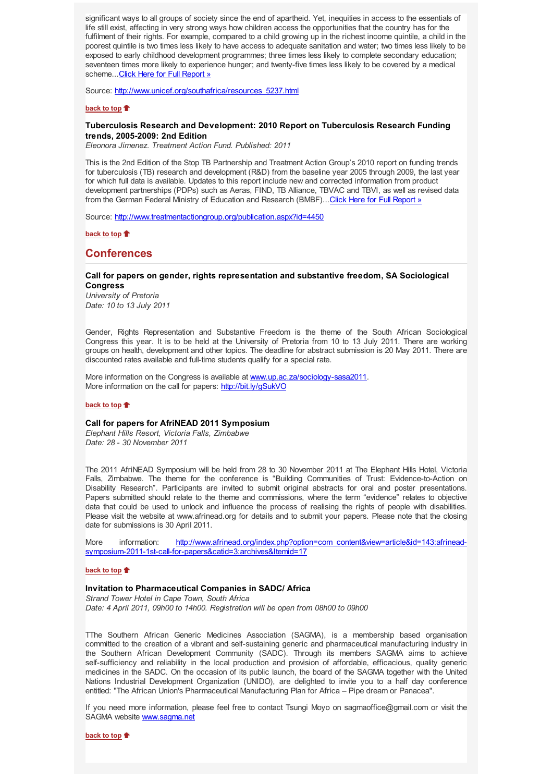significant ways to all groups of society since the end of apartheid. Yet, inequities in access to the essentials of life still exist, affecting in very strong ways how children access the opportunities that the country has for the fulfilment of their rights. For example, compared to a child growing up in the richest income quintile, a child in the poorest quintile is two times less likely to have access to adequate sanitation and water; two times less likely to be exposed to early childhood development programmes; three times less likely to complete secondary education; seventeen times more likely to experience hunger; and twenty-five times less likely to be covered by a medical scheme...Click Here for Full Report »

Source: http://www.unicef.org/southafrica/resources\_5237.html

### **back to top**

### **Tuberculosis Research and Development: 2010 Report on Tuberculosis Research Funding trends, 2005-2009: 2nd Edition**

*Eleonora Jimenez. Treatment Action Fund. Published: 2011*

This is the 2nd Edition of the Stop TB Partnership and Treatment Action Group's 2010 report on funding trends for tuberculosis (TB) research and development (R&D) from the baseline year 2005 through 2009, the last year for which full data is available. Updates to this report include new and corrected information from product development partnerships (PDPs) such as Aeras, FIND, TB Alliance, TBVAC and TBVI, as well as revised data from the German Federal Ministry of Education and Research (BMBF)...Click Here for Full Report »

Source: http://www.treatmentactiongroup.org/publication.aspx?id=4450

**back to top**

## **Conferences**

#### **Call for papers on gender, rights representation and substantive freedom, SA Sociological Congress**

*University of Pretoria Date: 10 to 13 July 2011*

Gender, Rights Representation and Substantive Freedom is the theme of the South African Sociological Congress this year. It is to be held at the University of Pretoria from 10 to 13 July 2011. There are working groups on health, development and other topics. The deadline for abstract submission is 20 May 2011. There are discounted rates available and full-time students qualify for a special rate.

More information on the Congress is available at www.up.ac.za/sociology-sasa2011. More information on the call for papers: http://bit.ly/gSukVO

### **back to top**

#### **Call for papers for AfriNEAD 2011 Symposium**

*Elephant Hills Resort, Victoria Falls, Zimbabwe Date: 28 - 30 November 2011*

The 2011 AfriNEAD Symposium will be held from 28 to 30 November 2011 at The Elephant Hills Hotel, Victoria Falls, Zimbabwe. The theme for the conference is "Building Communities of Trust: Evidence-to-Action on Disability Research". Participants are invited to submit original abstracts for oral and poster presentations. Papers submitted should relate to the theme and commissions, where the term "evidence" relates to objective data that could be used to unlock and influence the process of realising the rights of people with disabilities. Please visit the website at www.afrinead.org for details and to submit your papers. Please note that the closing date for submissions is 30 April 2011.

More information: http://www.afrinead.org/index.php?option=com\_content&view=article&id=143:afrineadsymposium-2011-1st-call-for-papers&catid=3:archives&Itemid=17

#### **back to top**

#### **Invitation to Pharmaceutical Companies in SADC/ Africa**

*Strand Tower Hotel in Cape Town, South Africa Date: 4 April 2011, 09h00 to 14h00. Registration will be open from 08h00 to 09h00*

TThe Southern African Generic Medicines Association (SAGMA), is a membership based organisation committed to the creation of a vibrant and self-sustaining generic and pharmaceutical manufacturing industry in the Southern African Development Community (SADC). Through its members SAGMA aims to achieve self-sufficiency and reliability in the local production and provision of affordable, efficacious, quality generic medicines in the SADC. On the occasion of its public launch, the board of the SAGMA together with the United Nations Industrial Development Organization (UNIDO), are delighted to invite you to a half day conference entitled: "The African Union's Pharmaceutical Manufacturing Plan for Africa – Pipe dream or Panacea".

If you need more information, please feel free to contact Tsungi Moyo on sagmaoffice@gmail.com or visit the SAGMA website www.sagma.net

**back to top**